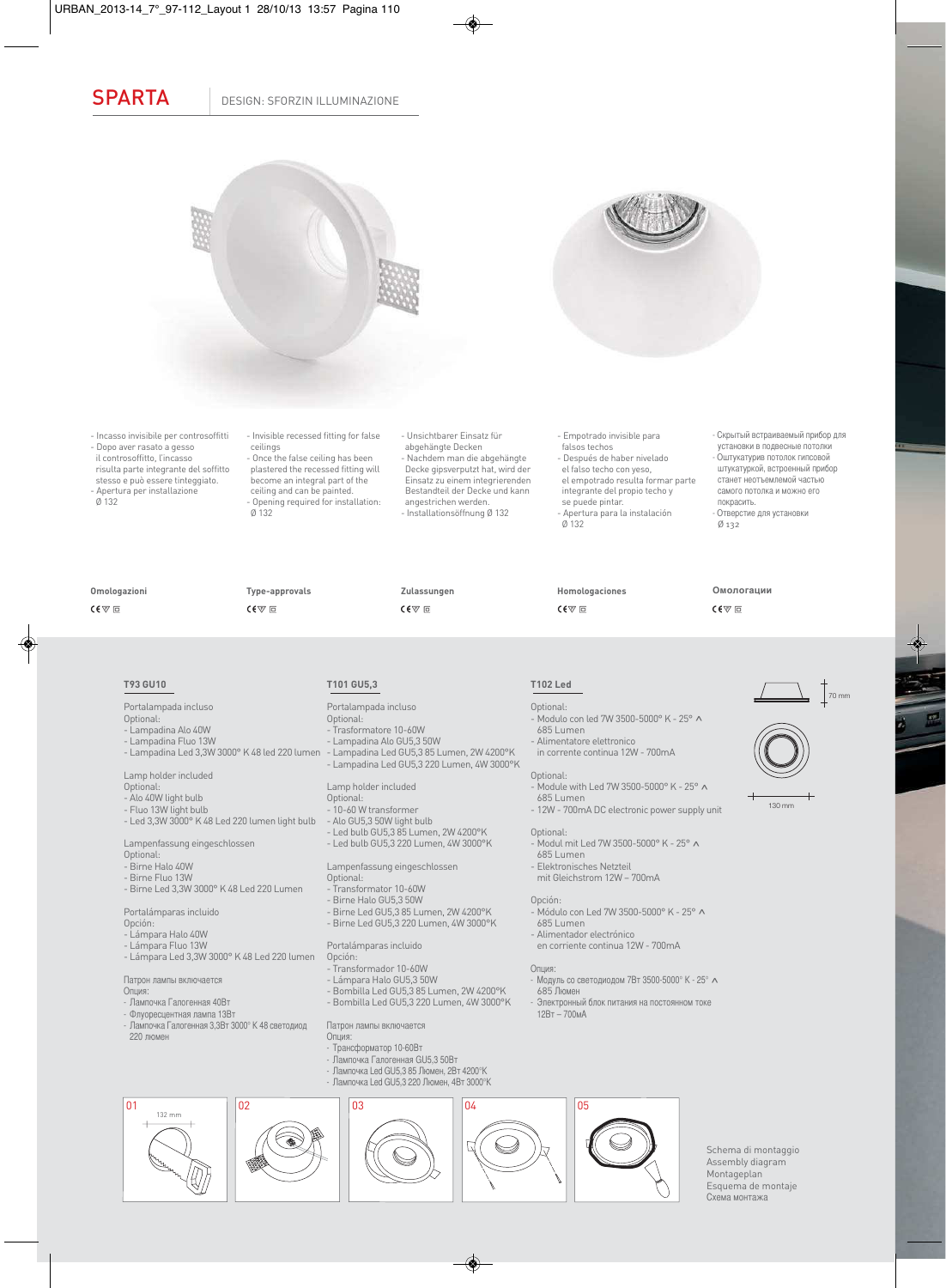SPARTA | DESIGN: SFORZIN ILLUMINAZIONE





- Incasso invisibile per controsoffitti - Dopo aver rasato a gesso il controsoffitto, l'incasso risulta parte integrante del soffitto stesso e può essere tinteggiato. - Apertura per installazione ceilings

- Invisible recessed fitting for false - Once the false ceiling has been plastered the recessed fitting will become an integral part of the ceiling and can be painted. - Opening required for installation: Ø 132

- Unsichtbarer Einsatz für abgehängte Decken - Nachdem man die abgehängte Decke gipsverputzt hat, wird der Einsatz zu einem integrierenden Bestandteil der Decke und kann angestrichen werden. - Installationsöffnung Ø 132

- Empotrado invisible para falsos techos

- Después de haber nivelado el falso techo con yeso,

el empotrado resulta formar parte integrante del propio techo y se puede pintar.

- Apertura para la instalación Ø 132

.<br>- Modulo con led 7W 3500-5000° K - 25° ^<br>- 685 Lumen

- Module with Led 7W 3500-5000° K -  $25^{\circ}$  A<br>685 Lumen - 12W - 700mA DC electronic power supply unit

- Modul mit Led 7W 3500-5000° K - 25° **^**<br>- 685 Lumen

- Módulo con Led 7W 3500-5000° K - 25°^ 685 Lumen

Опция:<br>- Модуль со светодиодом 7Вт 3500-5000° К - 25° л - Модуль со светодиодом 7Вт 3500-5000° K - 25° ^<br>685 Люмен<br>- Электронный блок питания на постоянном токе<br>- 12Вт – 700мА

**Homologaciones**

 $C \in \nabla \Box$ 

- Alimentatore elettronico in corrente continua 12W - 700mA

- Elektronisches Netzteil mit Gleichstrom 12W – 700mA

- Alimentador electrónico en corriente continua 12W - 700mA

**T102 Led**  Optional:

Optional:

Optional:

Opción:

- Скрытый встраиваемый прибор для установки в подвесные потолки - Оштукатурив потолок гипсовой штукатуркой, встроенный прибор станет неотъемлемой частью самого потолка и можно его покрасить. - Отверстие для установки Ø 132

**Омологации**

 $C \in \nabla \Box$ 

**Omologazioni**  $C \in \nabla$   $\Box$ 

Ø 132

**Type-approvals**  $C \in \nabla$   $\Box$ 

 $C \in \nabla \Box$ 

**Zulassungen**

# **T93 GU10**

Portalampada incluso

- Optional: - Lampadina Alo 40W
- Lampadina Fluo 13W

- Lampadina Led 3,3W 3000° K 48 led 220 lumen

Lamp holder included

Optional:

- Alo 40W light bulb
- Fluo 13W light bulb
- Led 3,3W 3000° K 48 Led 220 lumen light bulb

Lampenfassung eingeschlossen

- Optional: Birne Halo 40W
- Birne Fluo 13W
- Birne Led 3,3W 3000° K 48 Led 220 Lumen
- 
- Portalámparas incluido
- Opción:
- Lámpara Halo 40W
- Lámpara Fluo 13W
- Lámpara Led 3,3W 3000° K 48 Led 220 lumen

Патрон лампы включается

- Опция:
- Лампочка Галогенная 40Вт
- Флуоресцентная лампа 13Вт
- Лампочка Галогенная 3,3Вт 3000° K 48 светодиод 220 люмен

# **T101 GU5,3**

- Portalampada incluso
- Optional: - Trasformatore 10-60W
- 
- Lampadina Alo GU5,3 50W - Lampadina Led GU5,3 85 Lumen, 2W 4200°K - Lampadina Led GU5,3 220 Lumen, 4W 3000°K

### Lamp holder included

- Optional: - 10-60 W transformer
- 
- Alo GU5,3 50W light bulb - Led bulb GU5,3 85 Lumen, 2W 4200°K - Led bulb GU5,3 220 Lumen, 4W 3000°K
- 
- Lampenfassung eingeschlossen Optional:
- Transformator 10-60W
- Birne Halo GU5,3 50W
- Birne Led GU5,3 85 Lumen, 2W 4200°K
- Birne Led GU5,3 220 Lumen, 4W 3000°K

### Portalámparas incluido Opción:

- Transformador 10-60W
- Lámpara Halo GU5,3 50W
- Bombilla Led GU5,3 85 Lumen, 2W 4200°K
- Bombilla Led GU5,3 220 Lumen, 4W 3000°K

## Патрон лампы включается

- Опция:
- Трансформатор 10-60Вт
- Лампочка Галогенная GU5,3 50Вт
- Лампочка Led GU5,3 85 Люмен, 2Вт 4200°K
- Лампочка Led GU5,3 220 Люмен, 4Вт 3000°K



Schema di montaggio Assembly diagram Montageplan Esquema de montaje Схема монтажа